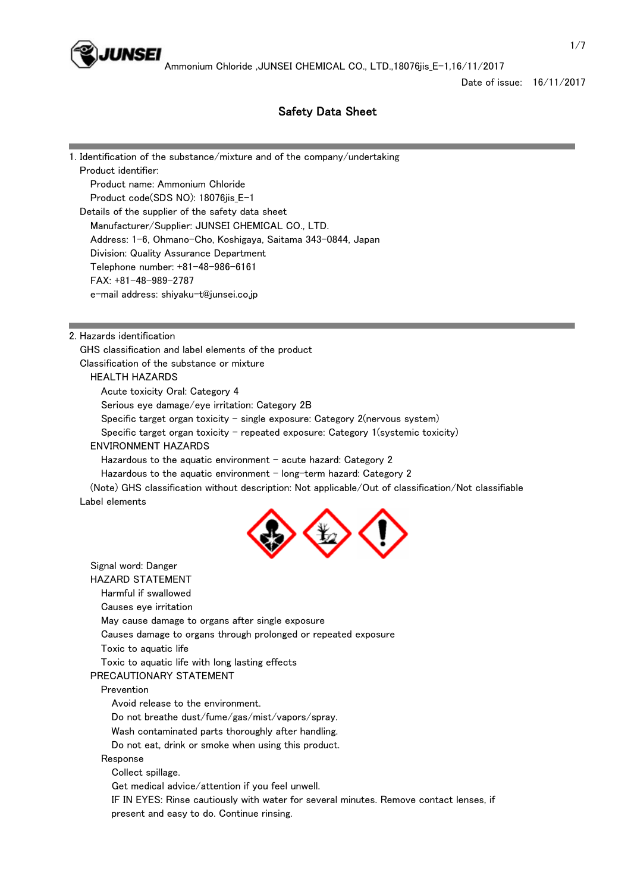

Date of issue: 16/11/2017

# Safety Data Sheet

1. Identification of the substance/mixture and of the company/undertaking Product identifier: Product name: Ammonium Chloride Product code(SDS NO): 18076jis\_E-1 Details of the supplier of the safety data sheet Manufacturer/Supplier: JUNSEI CHEMICAL CO., LTD. Address: 1-6, Ohmano-Cho, Koshigaya, Saitama 343-0844, Japan Division: Quality Assurance Department Telephone number: +81-48-986-6161 FAX: +81-48-989-2787 e-mail address: shiyaku-t@junsei.co.jp 2. Hazards identification GHS classification and label elements of the product Classification of the substance or mixture HEALTH HAZARDS Acute toxicity Oral: Category 4 Serious eye damage/eye irritation: Category 2B Specific target organ toxicity  $-$  single exposure: Category 2(nervous system) Specific target organ toxicity - repeated exposure: Category  $1$ (systemic toxicity)

### ENVIRONMENT HAZARDS

Hazardous to the aquatic environment  $-$  acute hazard: Category 2

Hazardous to the aquatic environment  $-$  long-term hazard: Category 2

 (Note) GHS classification without description: Not applicable/Out of classification/Not classifiable Label elements



 Signal word: Danger HAZARD STATEMENT Harmful if swallowed Causes eye irritation May cause damage to organs after single exposure Causes damage to organs through prolonged or repeated exposure Toxic to aquatic life Toxic to aquatic life with long lasting effects PRECAUTIONARY STATEMENT Prevention Avoid release to the environment. Do not breathe dust/fume/gas/mist/vapors/spray. Wash contaminated parts thoroughly after handling. Do not eat, drink or smoke when using this product. Response Collect spillage. Get medical advice/attention if you feel unwell. IF IN EYES: Rinse cautiously with water for several minutes. Remove contact lenses, if present and easy to do. Continue rinsing.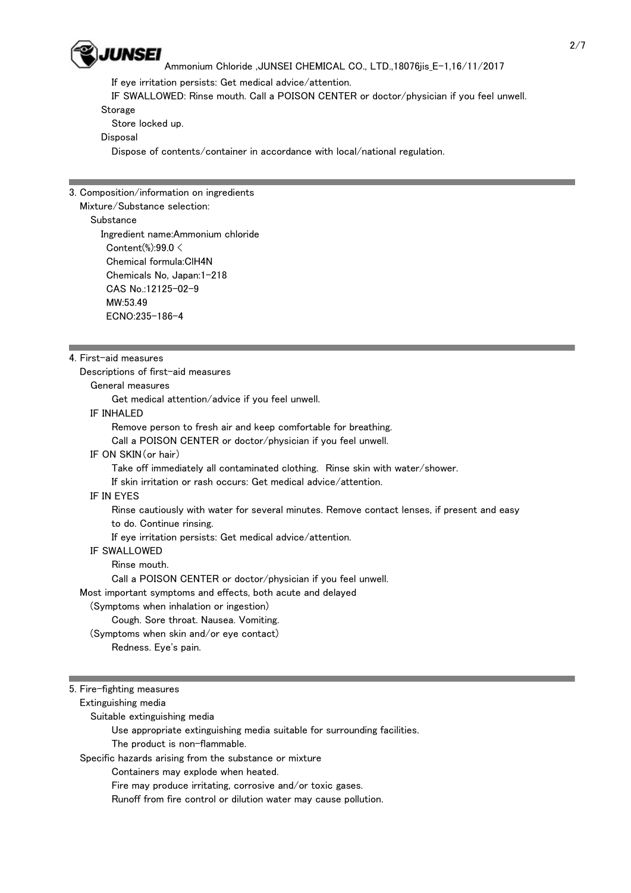

If eye irritation persists: Get medical advice/attention.

IF SWALLOWED: Rinse mouth. Call a POISON CENTER or doctor/physician if you feel unwell.

Storage

Store locked up.

Disposal

Dispose of contents/container in accordance with local/national regulation.

## 3. Composition/information on ingredients

### Mixture/Substance selection:

### Substance

 Ingredient name:Ammonium chloride Content(%):99.0 < Chemical formula:ClH4N Chemicals No, Japan:1-218 CAS No.:12125-02-9 MW:53.49 ECNO:235-186-4

## 4. First-aid measures

Descriptions of first-aid measures

General measures

Get medical attention/advice if you feel unwell.

## IF INHALED

Remove person to fresh air and keep comfortable for breathing.

Call a POISON CENTER or doctor/physician if you feel unwell.

# IF ON SKIN(or hair)

Take off immediately all contaminated clothing. Rinse skin with water/shower.

If skin irritation or rash occurs: Get medical advice/attention.

## IF IN EYES

Rinse cautiously with water for several minutes. Remove contact lenses, if present and easy

to do. Continue rinsing.

If eye irritation persists: Get medical advice/attention.

## IF SWALLOWED

Rinse mouth.

Call a POISON CENTER or doctor/physician if you feel unwell.

Most important symptoms and effects, both acute and delayed

## (Symptoms when inhalation or ingestion)

## Cough. Sore throat. Nausea. Vomiting.

(Symptoms when skin and/or eye contact)

Redness. Eye's pain.

## 5. Fire-fighting measures

Extinguishing media

Suitable extinguishing media

Use appropriate extinguishing media suitable for surrounding facilities.

The product is non-flammable.

Specific hazards arising from the substance or mixture

Containers may explode when heated.

Fire may produce irritating, corrosive and/or toxic gases.

Runoff from fire control or dilution water may cause pollution.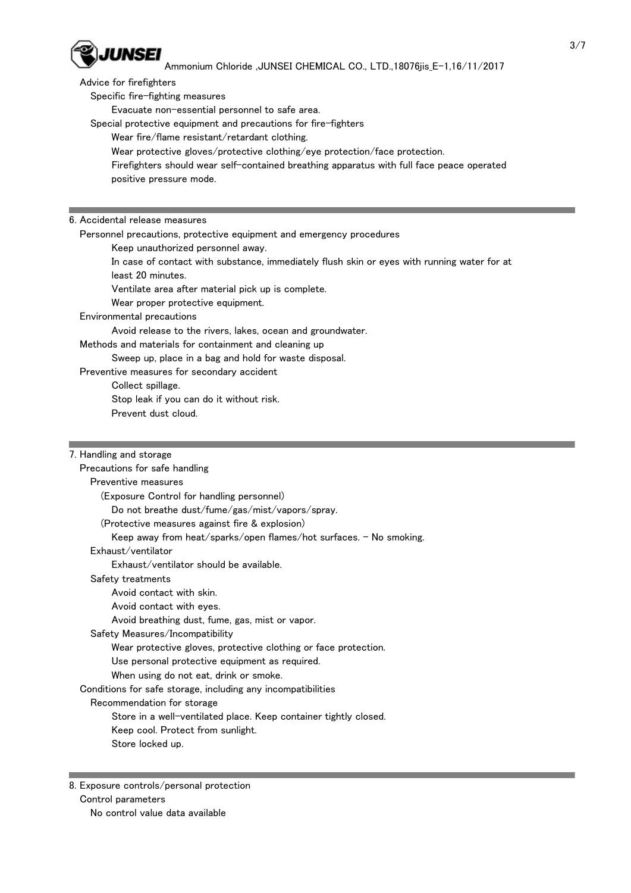

Advice for firefighters

Specific fire-fighting measures

Evacuate non-essential personnel to safe area.

Special protective equipment and precautions for fire-fighters

Wear fire/flame resistant/retardant clothing.

Wear protective gloves/protective clothing/eye protection/face protection.

 Firefighters should wear self-contained breathing apparatus with full face peace operated positive pressure mode.

### 6. Accidental release measures

Personnel precautions, protective equipment and emergency procedures

Keep unauthorized personnel away.

 In case of contact with substance, immediately flush skin or eyes with running water for at least 20 minutes.

Ventilate area after material pick up is complete.

Wear proper protective equipment.

### Environmental precautions

Avoid release to the rivers, lakes, ocean and groundwater.

Methods and materials for containment and cleaning up

Sweep up, place in a bag and hold for waste disposal.

Preventive measures for secondary accident

Collect spillage.

Stop leak if you can do it without risk.

Prevent dust cloud.

### 7. Handling and storage

 Precautions for safe handling Preventive measures (Exposure Control for handling personnel) Do not breathe dust/fume/gas/mist/vapors/spray. (Protective measures against fire & explosion) Keep away from heat/sparks/open flames/hot surfaces. - No smoking. Exhaust/ventilator Exhaust/ventilator should be available. Safety treatments Avoid contact with skin. Avoid contact with eyes. Avoid breathing dust, fume, gas, mist or vapor. Safety Measures/Incompatibility Wear protective gloves, protective clothing or face protection. Use personal protective equipment as required. When using do not eat, drink or smoke. Conditions for safe storage, including any incompatibilities Recommendation for storage Store in a well-ventilated place. Keep container tightly closed. Keep cool. Protect from sunlight. Store locked up.

8. Exposure controls/personal protection Control parameters No control value data available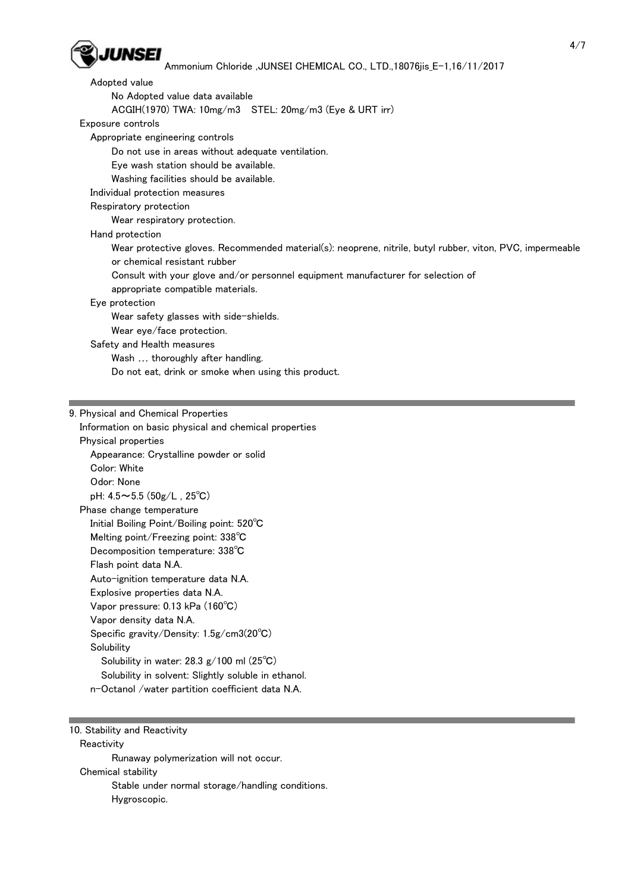

| Adopted value                                                                                                                             |
|-------------------------------------------------------------------------------------------------------------------------------------------|
| No Adopted value data available                                                                                                           |
| $ACGIH(1970) TWA: 10mg/m3$ STEL: $20mg/m3$ (Eye & URT irr)                                                                                |
| Exposure controls                                                                                                                         |
| Appropriate engineering controls                                                                                                          |
| Do not use in areas without adequate ventilation.                                                                                         |
| Eye wash station should be available.                                                                                                     |
| Washing facilities should be available.                                                                                                   |
| Individual protection measures                                                                                                            |
| Respiratory protection                                                                                                                    |
| Wear respiratory protection.                                                                                                              |
| Hand protection                                                                                                                           |
| Wear protective gloves. Recommended material(s): neoprene, nitrile, butyl rubber, viton, PVC, impermeable<br>or chemical resistant rubber |
| Consult with your glove and/or personnel equipment manufacturer for selection of                                                          |
| appropriate compatible materials.                                                                                                         |
| Eye protection                                                                                                                            |
| Wear safety glasses with side-shields.                                                                                                    |
| Wear eye/face protection.                                                                                                                 |
| Safety and Health measures                                                                                                                |
| Wash  thoroughly after handling.                                                                                                          |
| Do not eat, drink or smoke when using this product.                                                                                       |
|                                                                                                                                           |
|                                                                                                                                           |
| 9. Physical and Chemical Properties                                                                                                       |
| Information on basic physical and chemical properties                                                                                     |

 Physical properties Appearance: Crystalline powder or solid Color: White Odor: None pH: 4.5~5.5 (50g/L , 25℃) Phase change temperature Initial Boiling Point/Boiling point: 520℃ Melting point/Freezing point: 338℃ Decomposition temperature: 338℃ Flash point data N.A. Auto-ignition temperature data N.A. Explosive properties data N.A. Vapor pressure: 0.13 kPa (160℃) Vapor density data N.A. Specific gravity/Density: 1.5g/cm3(20℃) **Solubility**  Solubility in water: 28.3 g/100 ml (25℃) Solubility in solvent: Slightly soluble in ethanol. n-Octanol /water partition coefficient data N.A.

10. Stability and Reactivity

**Reactivity**  Runaway polymerization will not occur. Chemical stability Stable under normal storage/handling conditions. Hygroscopic.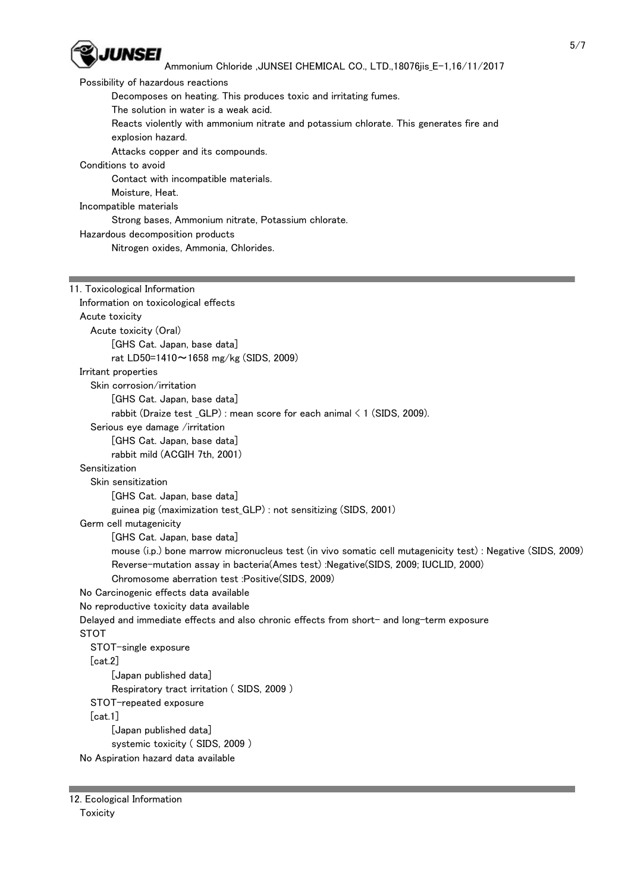

 Possibility of hazardous reactions Decomposes on heating. This produces toxic and irritating fumes. The solution in water is a weak acid. Reacts violently with ammonium nitrate and potassium chlorate. This generates fire and explosion hazard. Attacks copper and its compounds. Conditions to avoid Contact with incompatible materials. Moisture, Heat. Incompatible materials Strong bases, Ammonium nitrate, Potassium chlorate. Hazardous decomposition products Nitrogen oxides, Ammonia, Chlorides. 11. Toxicological Information Information on toxicological effects Acute toxicity Acute toxicity (Oral) [GHS Cat. Japan, base data] rat LD50=1410~1658 mg/kg (SIDS, 2009) Irritant properties Skin corrosion/irritation [GHS Cat. Japan, base data] rabbit (Draize test  $GLP$ ) : mean score for each animal  $\leq 1$  (SIDS, 2009). Serious eye damage /irritation [GHS Cat. Japan, base data] rabbit mild (ACGIH 7th, 2001) Sensitization Skin sensitization [GHS Cat. Japan, base data] guinea pig (maximization test\_GLP) : not sensitizing (SIDS, 2001) Germ cell mutagenicity [GHS Cat. Japan, base data] mouse (i.p.) bone marrow micronucleus test (in vivo somatic cell mutagenicity test) : Negative (SIDS, 2009) Reverse-mutation assay in bacteria(Ames test) :Negative(SIDS, 2009; IUCLID, 2000) Chromosome aberration test :Positive(SIDS, 2009) No Carcinogenic effects data available No reproductive toxicity data available Delayed and immediate effects and also chronic effects from short- and long-term exposure STOT STOT-single exposure [cat.2] [Japan published data] Respiratory tract irritation ( SIDS, 2009 ) STOT-repeated exposure

[cat.1]

 [Japan published data] systemic toxicity ( SIDS, 2009 ) No Aspiration hazard data available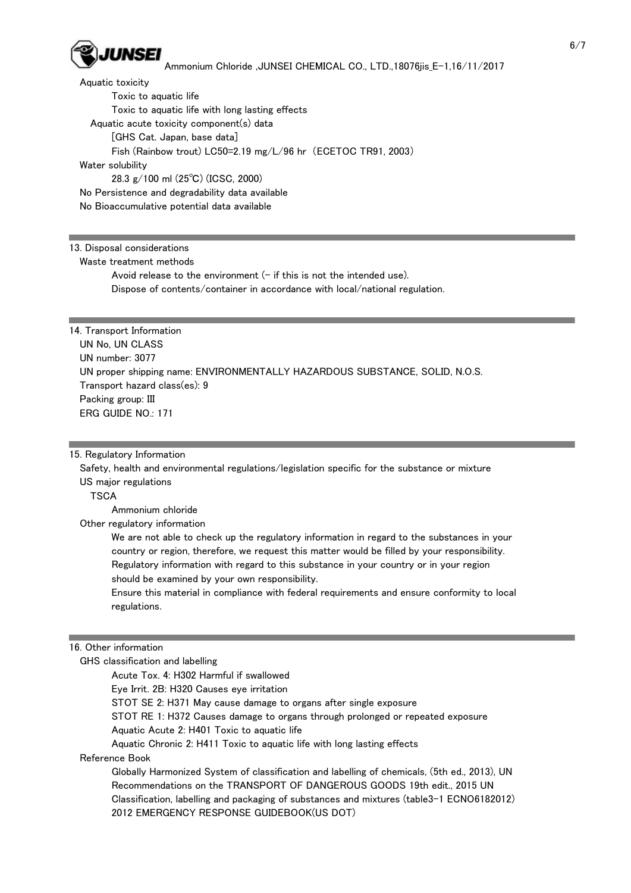

 Aquatic toxicity Toxic to aquatic life Toxic to aquatic life with long lasting effects Aquatic acute toxicity component(s) data [GHS Cat. Japan, base data] Fish (Rainbow trout) LC50=2.19 mg/L/96 hr (ECETOC TR91, 2003) Water solubility 28.3 g/100 ml (25℃) (ICSC, 2000) No Persistence and degradability data available No Bioaccumulative potential data available

### 13. Disposal considerations

Waste treatment methods

Avoid release to the environment  $(-$  if this is not the intended use). Dispose of contents/container in accordance with local/national regulation.

14. Transport Information UN No, UN CLASS UN number: 3077 UN proper shipping name: ENVIRONMENTALLY HAZARDOUS SUBSTANCE, SOLID, N.O.S. Transport hazard class(es): 9 Packing group: III ERG GUIDE NO.: 171

### 15. Regulatory Information

 Safety, health and environmental regulations/legislation specific for the substance or mixture US major regulations

**TSCA** 

Ammonium chloride

Other regulatory information

 We are not able to check up the regulatory information in regard to the substances in your country or region, therefore, we request this matter would be filled by your responsibility. Regulatory information with regard to this substance in your country or in your region should be examined by your own responsibility.

 Ensure this material in compliance with federal requirements and ensure conformity to local regulations.

### 16. Other information

GHS classification and labelling

 Acute Tox. 4: H302 Harmful if swallowed Eye Irrit. 2B: H320 Causes eye irritation STOT SE 2: H371 May cause damage to organs after single exposure STOT RE 1: H372 Causes damage to organs through prolonged or repeated exposure Aquatic Acute 2: H401 Toxic to aquatic life

Aquatic Chronic 2: H411 Toxic to aquatic life with long lasting effects

Reference Book

 Globally Harmonized System of classification and labelling of chemicals, (5th ed., 2013), UN Recommendations on the TRANSPORT OF DANGEROUS GOODS 19th edit., 2015 UN Classification, labelling and packaging of substances and mixtures (table3-1 ECNO6182012) 2012 EMERGENCY RESPONSE GUIDEBOOK(US DOT)